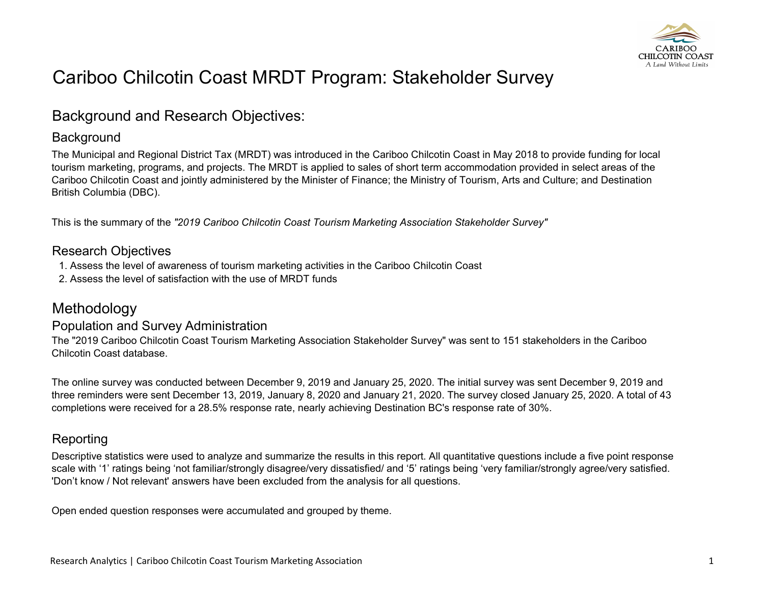

# Cariboo Chilcotin Coast MRDT Program: Stakeholder Survey

## Background and Research Objectives:

### **Background**

The Municipal and Regional District Tax (MRDT) was introduced in the Cariboo Chilcotin Coast in May 2018 to provide funding for local tourism marketing, programs, and projects. The MRDT is applied to sales of short term accommodation provided in select areas of the Cariboo Chilcotin Coast and jointly administered by the Minister of Finance; the Ministry of Tourism, Arts and Culture; and Destination British Columbia (DBC).

This is the summary of the *"2019 Cariboo Chilcotin Coast Tourism Marketing Association Stakeholder Survey"*

### Research Objectives

- 1. Assess the level of awareness of tourism marketing activities in the Cariboo Chilcotin Coast
- 2. Assess the level of satisfaction with the use of MRDT funds

# Methodology

### Population and Survey Administration

The "2019 Cariboo Chilcotin Coast Tourism Marketing Association Stakeholder Survey" was sent to 151 stakeholders in the Cariboo Chilcotin Coast database.

The online survey was conducted between December 9, 2019 and January 25, 2020. The initial survey was sent December 9, 2019 and three reminders were sent December 13, 2019, January 8, 2020 and January 21, 2020. The survey closed January 25, 2020. A total of 43 completions were received for a 28.5% response rate, nearly achieving Destination BC's response rate of 30%.

### Reporting

Descriptive statistics were used to analyze and summarize the results in this report. All quantitative questions include a five point response scale with '1' ratings being 'not familiar/strongly disagree/very dissatisfied/ and '5' ratings being 'very familiar/strongly agree/very satisfied. 'Don't know / Not relevant' answers have been excluded from the analysis for all questions.

Open ended question responses were accumulated and grouped by theme.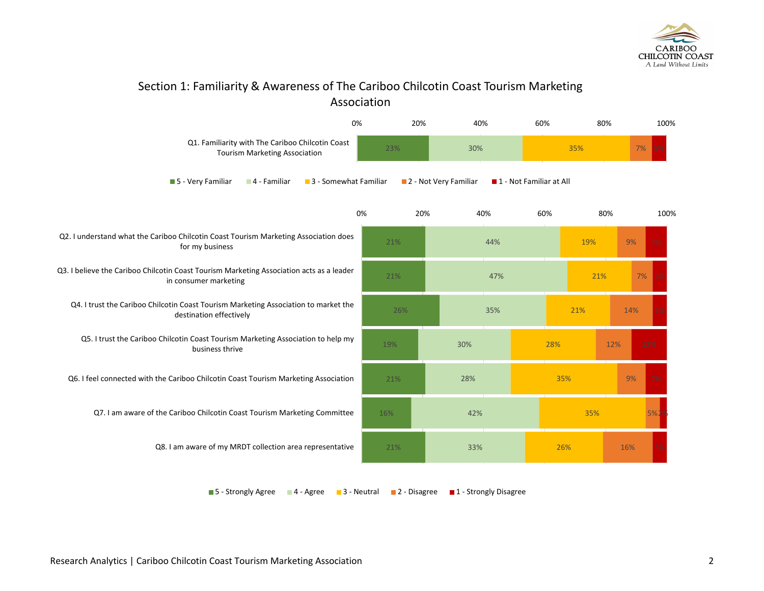

### Section 1: Familiarity & Awareness of The Cariboo Chilcotin Coast Tourism Marketing Association



 $\blacksquare$  5 - Strongly Agree  $\blacksquare$  4 - Agree  $\blacksquare$  3 - Neutral  $\blacksquare$  2 - Disagree  $\blacksquare$  1 - Strongly Disagree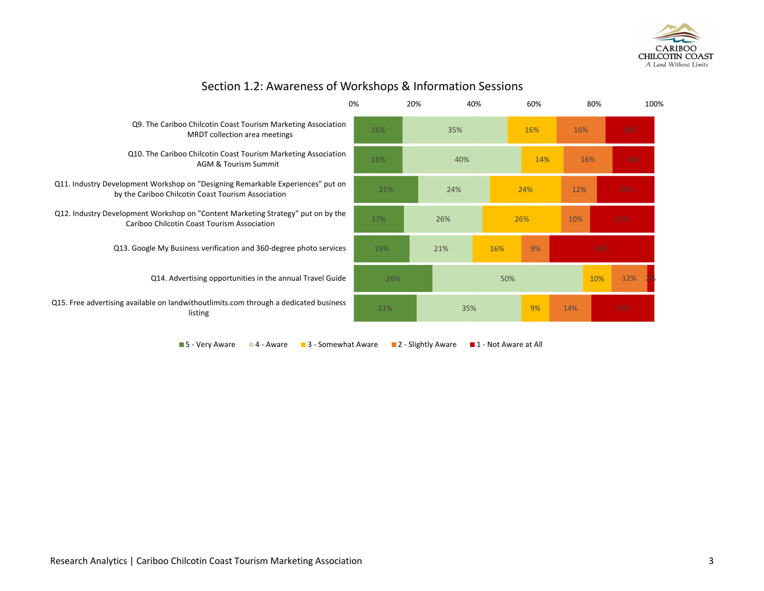

|                                                                                                                                       | 0%  | 20% | 40% |     | 60% |     | 80% |     | 100% |
|---------------------------------------------------------------------------------------------------------------------------------------|-----|-----|-----|-----|-----|-----|-----|-----|------|
| Q9. The Cariboo Chilcotin Coast Tourism Marketing Association<br>MRDT collection area meetings                                        | 16% |     | 35% |     | 16% | 16% |     | 16% |      |
| Q10. The Cariboo Chilcotin Coast Tourism Marketing Association<br><b>AGM &amp; Tourism Summit</b>                                     | 16% |     | 40% |     | 14% |     | 16% | 14% |      |
| Q11. Industry Development Workshop on "Designing Remarkable Experiences" put on<br>by the Cariboo Chilcotin Coast Tourism Association | 21% |     | 24% |     | 24% | 12% |     | 19% |      |
| Q12. Industry Development Workshop on "Content Marketing Strategy" put on by the<br>Cariboo Chilcotin Coast Tourism Association       | 17% |     | 26% |     | 26% | 10% |     | 21% |      |
| Q13. Google My Business verification and 360-degree photo services                                                                    | 19% |     | 21% | 16% | 9%  |     | 35% |     |      |
| Q14. Advertising opportunities in the annual Travel Guide                                                                             |     | 26% |     | 50% |     |     | 10% | 12% |      |
| Q15. Free advertising available on landwithoutlimits.com through a dedicated business<br>listing                                      | 21% |     | 35% |     | 9%  | 14% |     | 21% |      |
|                                                                                                                                       |     |     |     |     |     |     |     |     |      |

### Section 1.2: Awareness of Workshops & Information Sessions

 $\blacksquare$  5 - Very Aware  $\blacksquare$  4 - Aware  $\blacksquare$  3 - Somewhat Aware  $\blacksquare$  2 - Slightly Aware  $\blacksquare$  1 - Not Aware at All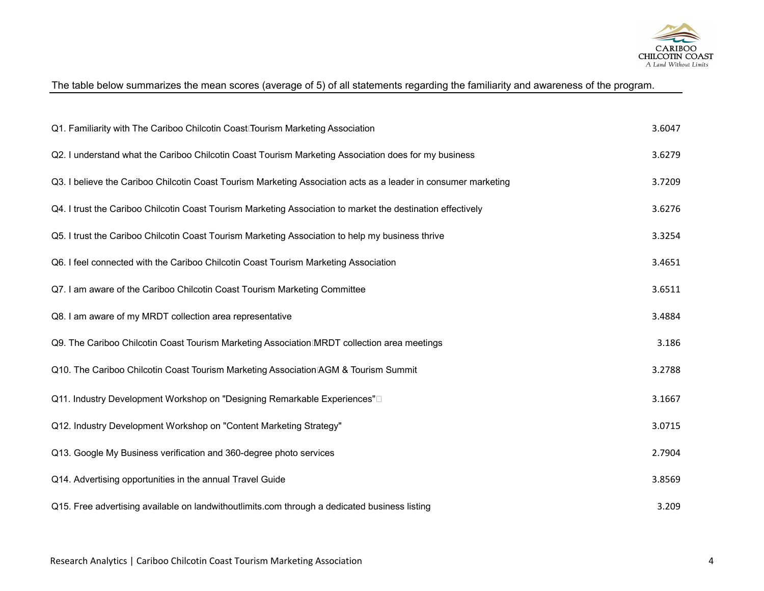

### The table below summarizes the mean scores (average of 5) of all statements regarding the familiarity and awareness of the program.

| Q1. Familiarity with The Cariboo Chilcotin Coast Tourism Marketing Association                                 | 3.6047 |
|----------------------------------------------------------------------------------------------------------------|--------|
| Q2. I understand what the Cariboo Chilcotin Coast Tourism Marketing Association does for my business           | 3.6279 |
| Q3. I believe the Cariboo Chilcotin Coast Tourism Marketing Association acts as a leader in consumer marketing | 3.7209 |
| Q4. I trust the Cariboo Chilcotin Coast Tourism Marketing Association to market the destination effectively    | 3.6276 |
| Q5. I trust the Cariboo Chilcotin Coast Tourism Marketing Association to help my business thrive               | 3.3254 |
| Q6. I feel connected with the Cariboo Chilcotin Coast Tourism Marketing Association                            | 3.4651 |
| Q7. I am aware of the Cariboo Chilcotin Coast Tourism Marketing Committee                                      | 3.6511 |
| Q8. I am aware of my MRDT collection area representative                                                       | 3.4884 |
| Q9. The Cariboo Chilcotin Coast Tourism Marketing Association MRDT collection area meetings                    | 3.186  |
| Q10. The Cariboo Chilcotin Coast Tourism Marketing Association AGM & Tourism Summit                            | 3.2788 |
| Q11. Industry Development Workshop on "Designing Remarkable Experiences"                                       | 3.1667 |
| Q12. Industry Development Workshop on "Content Marketing Strategy"                                             | 3.0715 |
| Q13. Google My Business verification and 360-degree photo services                                             | 2.7904 |
| Q14. Advertising opportunities in the annual Travel Guide                                                      | 3.8569 |
| Q15. Free advertising available on landwithoutlimits.com through a dedicated business listing                  | 3.209  |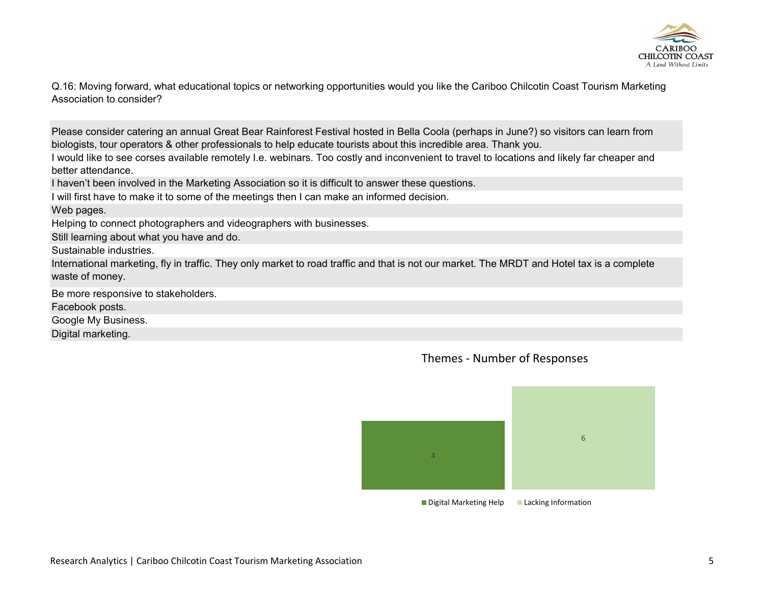

Q.16: Moving forward, what educational topics or networking opportunities would you like the Cariboo Chilcotin Coast Tourism Marketing Association to consider?

Please consider catering an annual Great Bear Rainforest Festival hosted in Bella Coola (perhaps in June?) so visitors can learn from biologists, tour operators & other professionals to help educate tourists about this incredible area. Thank you.

I would like to see corses available remotely I.e. webinars. Too costly and inconvenient to travel to locations and likely far cheaper and better attendance.

I haven't been involved in the Marketing Association so it is difficult to answer these questions.

I will first have to make it to some of the meetings then I can make an informed decision.

#### Web pages.

Helping to connect photographers and videographers with businesses.

Still learning about what you have and do.

Sustainable industries.

International marketing, fly in traffic. They only market to road traffic and that is not our market. The MRDT and Hotel tax is a complete waste of money.

Be more responsive to stakeholders. Facebook posts. Google My Business.

Digital marketing.



Themes - Number of Responses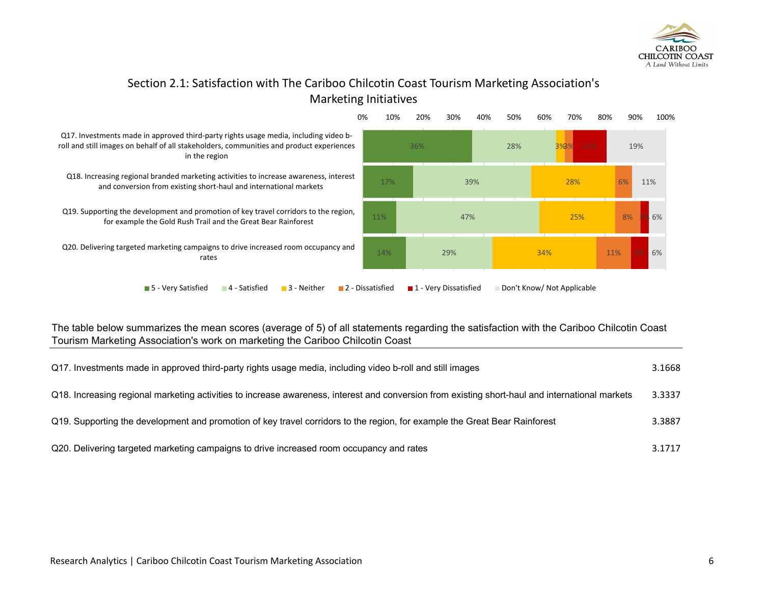

### Section 2.1: Satisfaction with The Cariboo Chilcotin Coast Tourism Marketing Association's Marketing Initiatives



#### The table below summarizes the mean scores (average of 5) of all statements regarding the satisfaction with the Cariboo Chilcotin Coast Tourism Marketing Association's work on marketing the Cariboo Chilcotin Coast

| Q17. Investments made in approved third-party rights usage media, including video b-roll and still images                                       | 3.1668 |
|-------------------------------------------------------------------------------------------------------------------------------------------------|--------|
| Q18. Increasing regional marketing activities to increase awareness, interest and conversion from existing short-haul and international markets | 3.3337 |
| Q19. Supporting the development and promotion of key travel corridors to the region, for example the Great Bear Rainforest                      | 3.3887 |
| Q20. Delivering targeted marketing campaigns to drive increased room occupancy and rates                                                        | 3.1717 |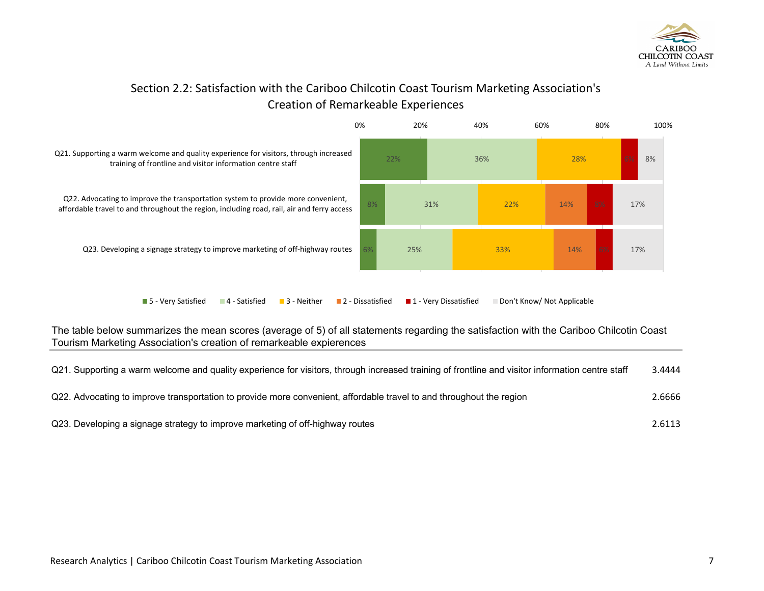

### Section 2.2: Satisfaction with the Cariboo Chilcotin Coast Tourism Marketing Association's Creation of Remarkeable Experiences



The table below summarizes the mean scores (average of 5) of all statements regarding the satisfaction with the Cariboo Chilcotin Coast Tourism Marketing Association's creation of remarkeable expierences

| Q21. Supporting a warm welcome and quality experience for visitors, through increased training of frontline and visitor information centre staff | 3.4444 |
|--------------------------------------------------------------------------------------------------------------------------------------------------|--------|
| Q22. Advocating to improve transportation to provide more convenient, affordable travel to and throughout the region                             | 2.6666 |
| Q23. Developing a signage strategy to improve marketing of off-highway routes                                                                    | 2.6113 |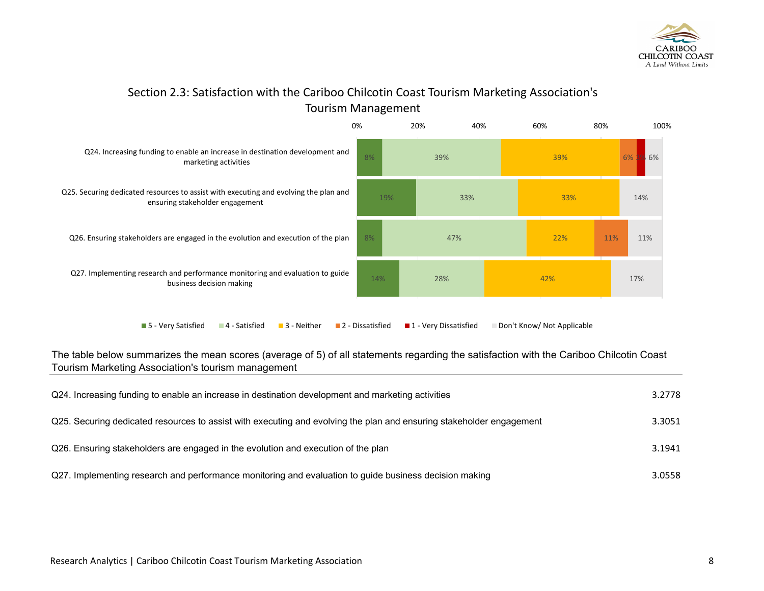

### Section 2.3: Satisfaction with the Cariboo Chilcotin Coast Tourism Marketing Association's Tourism Management



The table below summarizes the mean scores (average of 5) of all statements regarding the satisfaction with the Cariboo Chilcotin Coast Tourism Marketing Association's tourism management

| Q24. Increasing funding to enable an increase in destination development and marketing activities                    | 3.2778 |
|----------------------------------------------------------------------------------------------------------------------|--------|
| Q25. Securing dedicated resources to assist with executing and evolving the plan and ensuring stakeholder engagement | 3.3051 |
| Q26. Ensuring stakeholders are engaged in the evolution and execution of the plan                                    | 3.1941 |
| Q27. Implementing research and performance monitoring and evaluation to guide business decision making               | 3.0558 |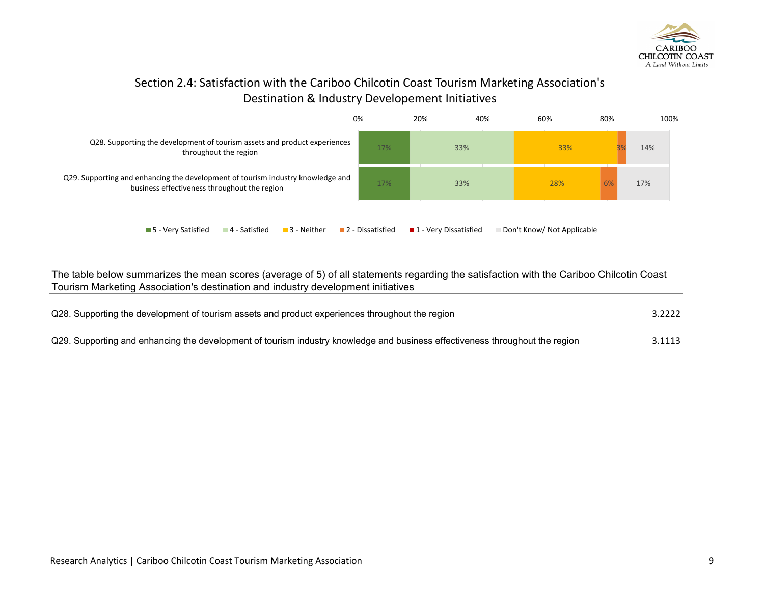

### Section 2.4: Satisfaction with the Cariboo Chilcotin Coast Tourism Marketing Association's Destination & Industry Developement Initiatives



The table below summarizes the mean scores (average of 5) of all statements regarding the satisfaction with the Cariboo Chilcotin Coast Tourism Marketing Association's destination and industry development initiatives

| Q28. Supporting the development of tourism assets and product experiences throughout the region                              |        |
|------------------------------------------------------------------------------------------------------------------------------|--------|
| Q29. Supporting and enhancing the development of tourism industry knowledge and business effectiveness throughout the region | 3.1113 |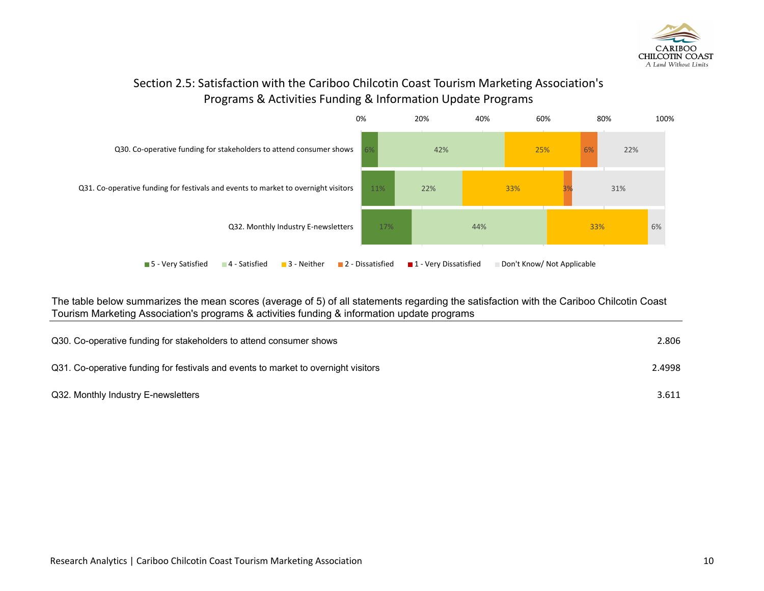

### Section 2.5: Satisfaction with the Cariboo Chilcotin Coast Tourism Marketing Association's Programs & Activities Funding & Information Update Programs



The table below summarizes the mean scores (average of 5) of all statements regarding the satisfaction with the Cariboo Chilcotin Coast Tourism Marketing Association's programs & activities funding & information update programs

| Q30. Co-operative funding for stakeholders to attend consumer shows                | 2.806  |
|------------------------------------------------------------------------------------|--------|
| Q31. Co-operative funding for festivals and events to market to overnight visitors | 2.4998 |
| Q32. Monthly Industry E-newsletters                                                | 3.611  |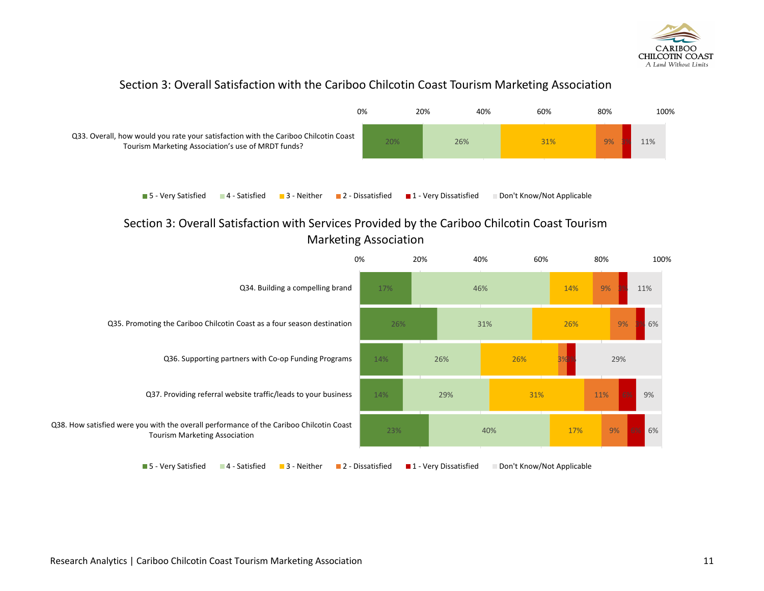

### Section 3: Overall Satisfaction with the Cariboo Chilcotin Coast Tourism Marketing Association



### Section 3: Overall Satisfaction with Services Provided by the Cariboo Chilcotin Coast Tourism Marketing Association

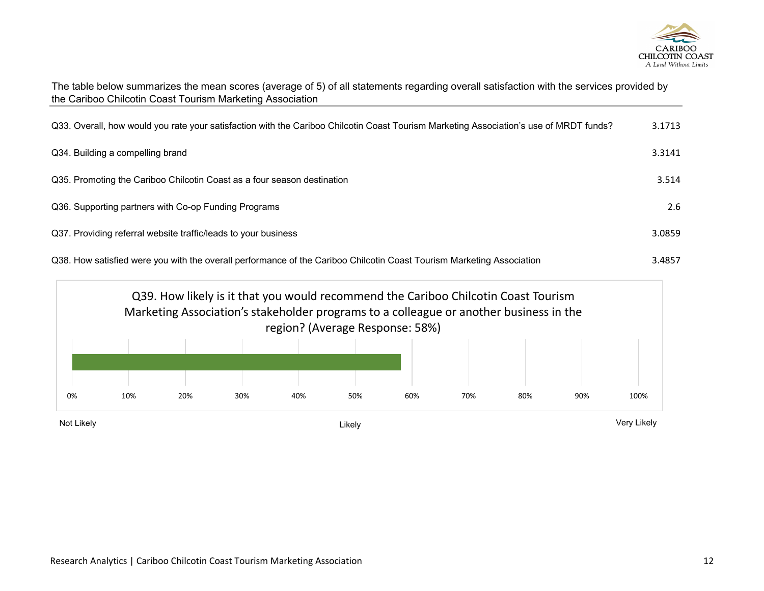

| The table below summarizes the mean scores (average of 5) of all statements regarding overall satisfaction with the services provided by |  |  |
|------------------------------------------------------------------------------------------------------------------------------------------|--|--|
| the Cariboo Chilcotin Coast Tourism Marketing Association                                                                                |  |  |

| Q33. Overall, how would you rate your satisfaction with the Cariboo Chilcotin Coast Tourism Marketing Association's use of MRDT funds? | 3.1713 |
|----------------------------------------------------------------------------------------------------------------------------------------|--------|
| Q34. Building a compelling brand                                                                                                       | 3.3141 |
| Q35. Promoting the Cariboo Chilcotin Coast as a four season destination                                                                | 3.514  |
| Q36. Supporting partners with Co-op Funding Programs                                                                                   | 2.6    |
| Q37. Providing referral website traffic/leads to your business                                                                         | 3.0859 |
| Q38. How satisfied were you with the overall performance of the Cariboo Chilcotin Coast Tourism Marketing Association                  | 3.4857 |

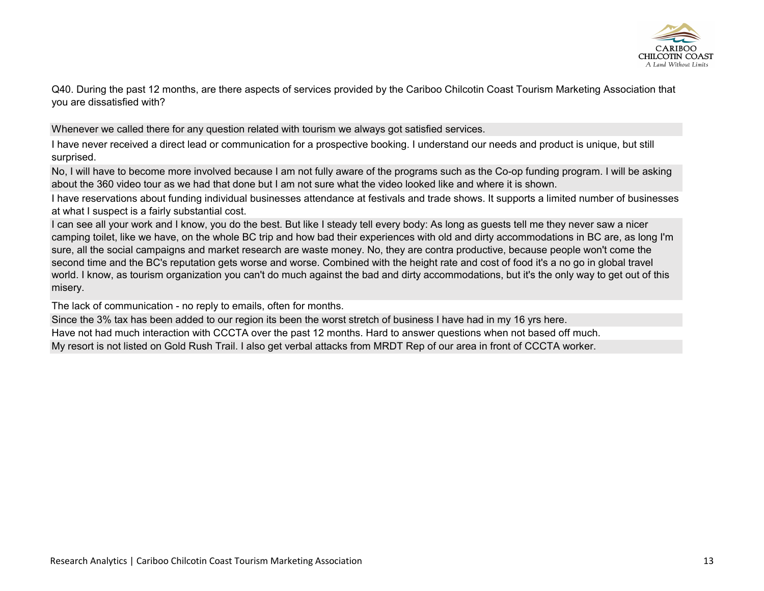

Q40. During the past 12 months, are there aspects of services provided by the Cariboo Chilcotin Coast Tourism Marketing Association that you are dissatisfied with?

Whenever we called there for any question related with tourism we always got satisfied services.

I have never received a direct lead or communication for a prospective booking. I understand our needs and product is unique, but still surprised.

No, I will have to become more involved because I am not fully aware of the programs such as the Co-op funding program. I will be asking about the 360 video tour as we had that done but I am not sure what the video looked like and where it is shown.

I have reservations about funding individual businesses attendance at festivals and trade shows. It supports a limited number of businesses at what I suspect is a fairly substantial cost.

I can see all your work and I know, you do the best. But like I steady tell every body: As long as guests tell me they never saw a nicer camping toilet, like we have, on the whole BC trip and how bad their experiences with old and dirty accommodations in BC are, as long I'm sure, all the social campaigns and market research are waste money. No, they are contra productive, because people won't come the second time and the BC's reputation gets worse and worse. Combined with the height rate and cost of food it's a no go in global travel world. I know, as tourism organization you can't do much against the bad and dirty accommodations, but it's the only way to get out of this misery.

The lack of communication - no reply to emails, often for months.

Since the 3% tax has been added to our region its been the worst stretch of business I have had in my 16 yrs here.

Have not had much interaction with CCCTA over the past 12 months. Hard to answer questions when not based off much.

My resort is not listed on Gold Rush Trail. I also get verbal attacks from MRDT Rep of our area in front of CCCTA worker.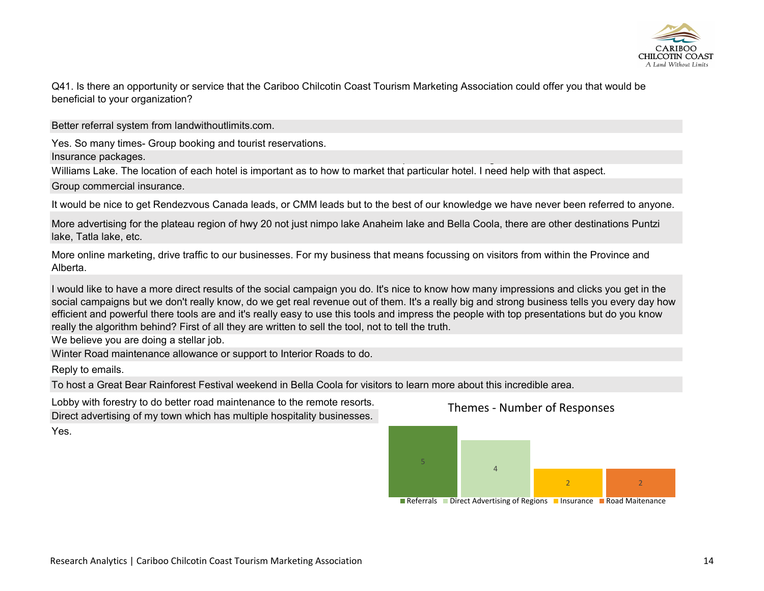

Q41. Is there an opportunity or service that the Cariboo Chilcotin Coast Tourism Marketing Association could offer you that would be beneficial to your organization?

Better referral system from landwithoutlimits.com.

Yes. So many times- Group booking and tourist reservations.

Insurance packages. The group of the contract of the group of the group of the group of the group of the group

Williams Lake. The location of each hotel is important as to how to market that particular hotel. I need help with that aspect.

Group commercial insurance.

It would be nice to get Rendezvous Canada leads, or CMM leads but to the best of our knowledge we have never been referred to anyone.

More advertising for the plateau region of hwy 20 not just nimpo lake Anaheim lake and Bella Coola, there are other destinations Puntzi lake, Tatla lake, etc.

More online marketing, drive traffic to our businesses. For my business that means focussing on visitors from within the Province and Alberta.

I would like to have a more direct results of the social campaign you do. It's nice to know how many impressions and clicks you get in the social campaigns but we don't really know, do we get real revenue out of them. It's a really big and strong business tells you every day how efficient and powerful there tools are and it's really easy to use this tools and impress the people with top presentations but do you know really the algorithm behind? First of all they are written to sell the tool, not to tell the truth.

We believe you are doing a stellar job.

Winter Road maintenance allowance or support to Interior Roads to do.

Reply to emails.

To host a Great Bear Rainforest Festival weekend in Bella Coola for visitors to learn more about this incredible area.

Lobby with forestry to do better road maintenance to the remote resorts.

Direct advertising of my town which has multiple hospitality businesses.

Yes.



Themes - Number of Responses

Referrals Direct Advertising of Regions Insurance Road Maitenance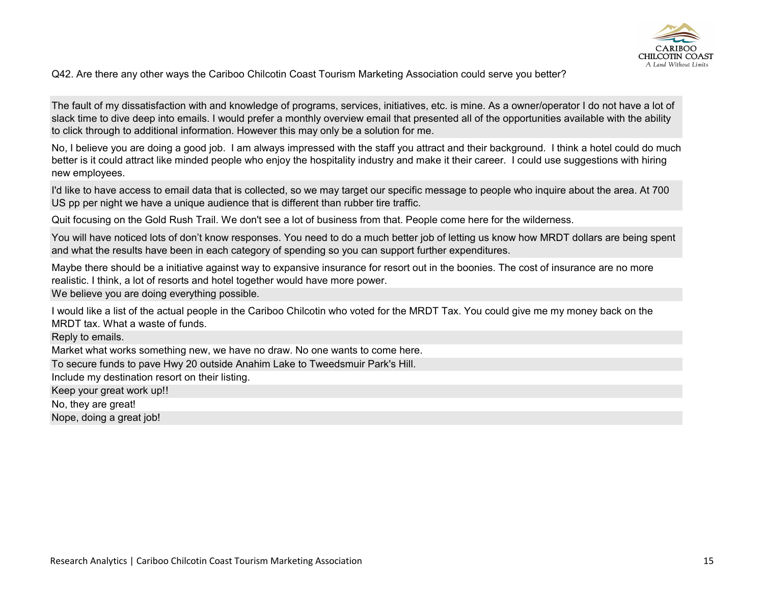

Q42. Are there any other ways the Cariboo Chilcotin Coast Tourism Marketing Association could serve you better?

The fault of my dissatisfaction with and knowledge of programs, services, initiatives, etc. is mine. As a owner/operator I do not have a lot of slack time to dive deep into emails. I would prefer a monthly overview email that presented all of the opportunities available with the ability to click through to additional information. However this may only be a solution for me.

No, I believe you are doing a good job. I am always impressed with the staff you attract and their background. I think a hotel could do much better is it could attract like minded people who enjoy the hospitality industry and make it their career. I could use suggestions with hiring new employees.

I'd like to have access to email data that is collected, so we may target our specific message to people who inquire about the area. At 700 US pp per night we have a unique audience that is different than rubber tire traffic.

Quit focusing on the Gold Rush Trail. We don't see a lot of business from that. People come here for the wilderness.

You will have noticed lots of don't know responses. You need to do a much better job of letting us know how MRDT dollars are being spent and what the results have been in each category of spending so you can support further expenditures.

Maybe there should be a initiative against way to expansive insurance for resort out in the boonies. The cost of insurance are no more realistic. I think, a lot of resorts and hotel together would have more power.

We believe you are doing everything possible.

I would like a list of the actual people in the Cariboo Chilcotin who voted for the MRDT Tax. You could give me my money back on the MRDT tax. What a waste of funds.

Reply to emails. Market what works something new, we have no draw. No one wants to come here. To secure funds to pave Hwy 20 outside Anahim Lake to Tweedsmuir Park's Hill. Include my destination resort on their listing. Keep your great work up!! No, they are great! Nope, doing a great job!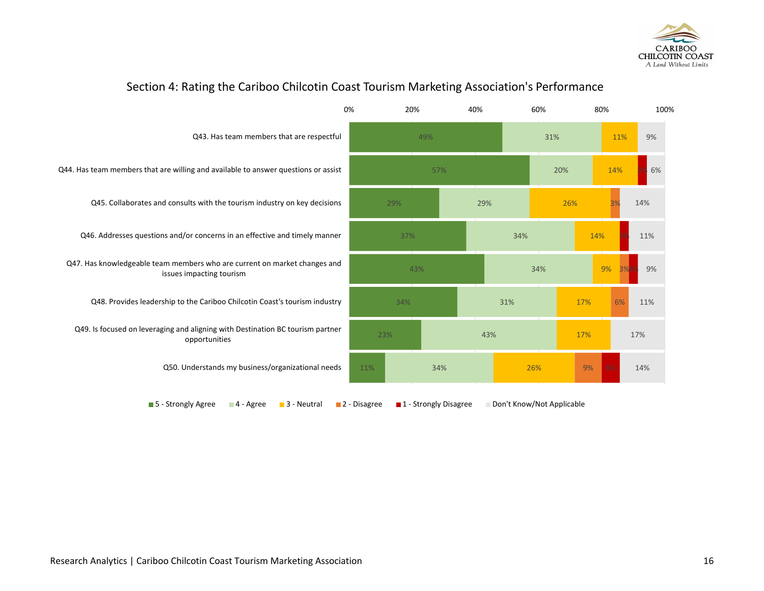



### Section 4: Rating the Cariboo Chilcotin Coast Tourism Marketing Association's Performance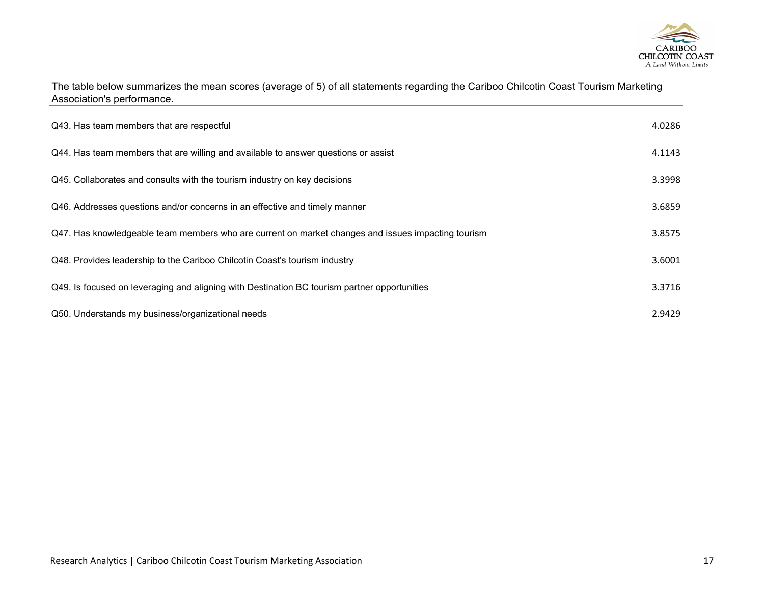

The table below summarizes the mean scores (average of 5) of all statements regarding the Cariboo Chilcotin Coast Tourism Marketing Association's performance.

| Q43. Has team members that are respectful                                                          | 4.0286 |
|----------------------------------------------------------------------------------------------------|--------|
| Q44. Has team members that are willing and available to answer questions or assist                 | 4.1143 |
| Q45. Collaborates and consults with the tourism industry on key decisions                          | 3.3998 |
| Q46. Addresses questions and/or concerns in an effective and timely manner                         | 3.6859 |
| Q47. Has knowledgeable team members who are current on market changes and issues impacting tourism | 3.8575 |
| Q48. Provides leadership to the Cariboo Chilcotin Coast's tourism industry                         | 3.6001 |
| Q49. Is focused on leveraging and aligning with Destination BC tourism partner opportunities       | 3.3716 |
| Q50. Understands my business/organizational needs                                                  | 2.9429 |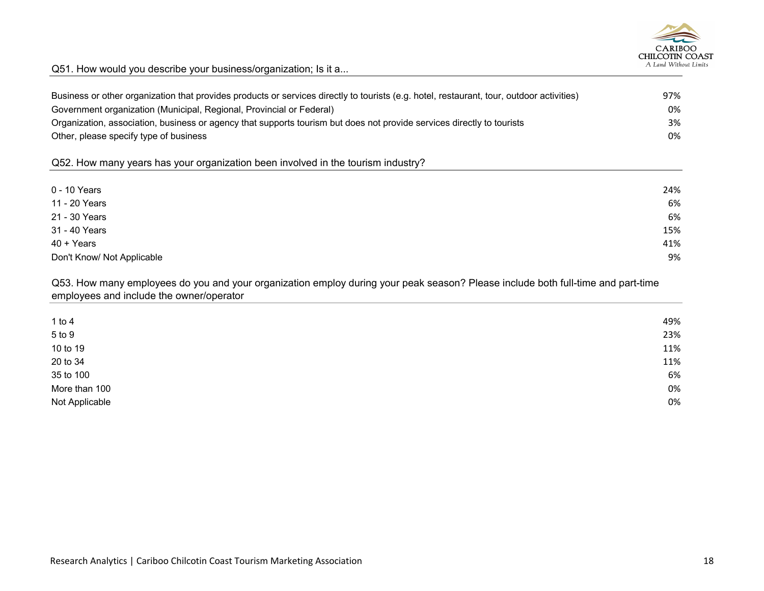

Q51. How would you describe your business/organization; Is it a...

| Business or other organization that provides products or services directly to tourists (e.g. hotel, restaurant, tour, outdoor activities)<br>Government organization (Municipal, Regional, Provincial or Federal) | 97%<br>0% |
|-------------------------------------------------------------------------------------------------------------------------------------------------------------------------------------------------------------------|-----------|
| Organization, association, business or agency that supports tourism but does not provide services directly to tourists                                                                                            | 3%        |
| Other, please specify type of business                                                                                                                                                                            | 0%        |
| Q52. How many years has your organization been involved in the tourism industry?                                                                                                                                  |           |
| 0 - 10 Years                                                                                                                                                                                                      | 24%       |
| 11 - 20 Years                                                                                                                                                                                                     | 6%        |
| 21 - 30 Years                                                                                                                                                                                                     | 6%        |
| 31 - 40 Years                                                                                                                                                                                                     | 15%       |
| $40 + Years$                                                                                                                                                                                                      | 41%       |
| Don't Know/ Not Applicable                                                                                                                                                                                        | 9%        |

Q53. How many employees do you and your organization employ during your peak season? Please include both full-time and part-time employees and include the owner/operator

| 49% |
|-----|
| 23% |
| 11% |
| 11% |
| 6%  |
| 0%  |
| 0%  |
|     |